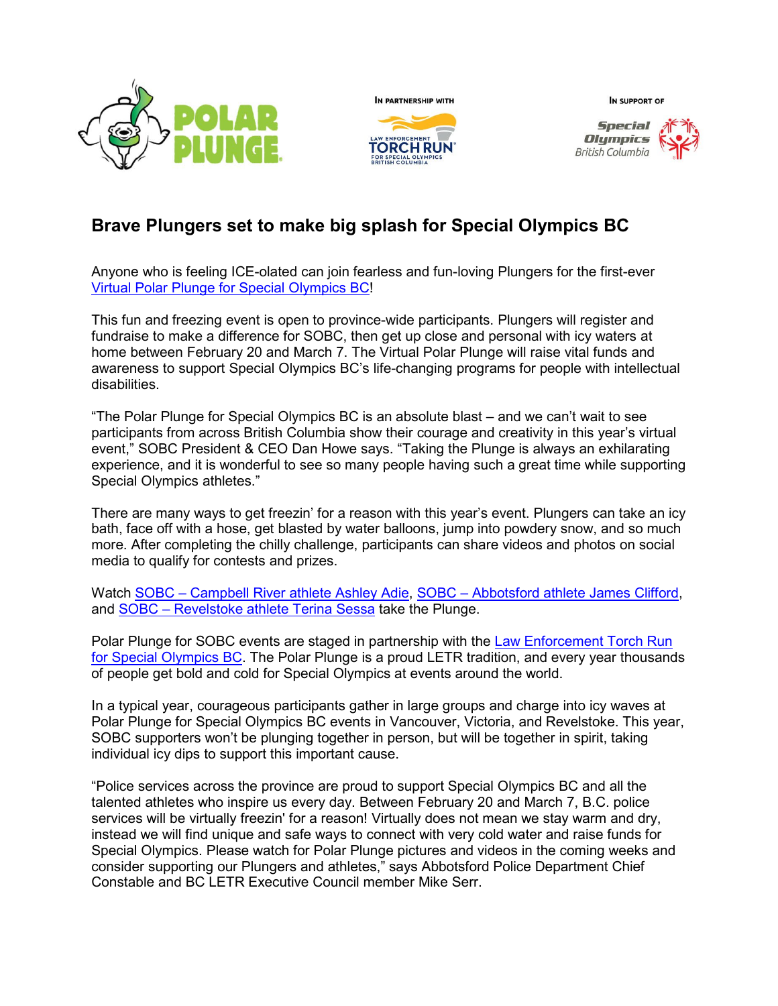



IN SUPPORT OF



## **Brave Plungers set to make big splash for Special Olympics BC**

Anyone who is feeling ICE-olated can join fearless and fun-loving Plungers for the first-ever [Virtual Polar Plunge for Special Olympics BC!](https://specialolympics.ca/polar-plunge-special-olympics-bc)

This fun and freezing event is open to province-wide participants. Plungers will register and fundraise to make a difference for SOBC, then get up close and personal with icy waters at home between February 20 and March 7. The Virtual Polar Plunge will raise vital funds and awareness to support Special Olympics BC's life-changing programs for people with intellectual disabilities.

"The Polar Plunge for Special Olympics BC is an absolute blast – and we can't wait to see participants from across British Columbia show their courage and creativity in this year's virtual event," SOBC President & CEO Dan Howe says. "Taking the Plunge is always an exhilarating experience, and it is wonderful to see so many people having such a great time while supporting Special Olympics athletes."

There are many ways to get freezin' for a reason with this year's event. Plungers can take an icy bath, face off with a hose, get blasted by water balloons, jump into powdery snow, and so much more. After completing the chilly challenge, participants can share videos and photos on social media to qualify for contests and prizes.

Watch SOBC – [Campbell River athlete Ashley Adie,](https://www.youtube.com/watch?v=pHVW7cLBdFU) SOBC – [Abbotsford athlete James Clifford,](https://www.youtube.com/watch?v=LA69axpR4zQ) and SOBC – [Revelstoke athlete Terina](https://www.youtube.com/watch?v=vHOh4rG5C6g) Sessa take the Plunge.

Polar Plunge for SOBC events are staged in partnership with the [Law Enforcement Torch Run](https://specialolympics.ca/british-columbia/ways-give/law-enforcement-torch-run/torch-run-background)  [for Special Olympics BC.](https://specialolympics.ca/british-columbia/ways-give/law-enforcement-torch-run/torch-run-background) The Polar Plunge is a proud LETR tradition, and every year thousands of people get bold and cold for Special Olympics at events around the world.

In a typical year, courageous participants gather in large groups and charge into icy waves at Polar Plunge for Special Olympics BC events in Vancouver, Victoria, and Revelstoke. This year, SOBC supporters won't be plunging together in person, but will be together in spirit, taking individual icy dips to support this important cause.

"Police services across the province are proud to support Special Olympics BC and all the talented athletes who inspire us every day. Between February 20 and March 7, B.C. police services will be virtually freezin' for a reason! Virtually does not mean we stay warm and dry, instead we will find unique and safe ways to connect with very cold water and raise funds for Special Olympics. Please watch for Polar Plunge pictures and videos in the coming weeks and consider supporting our Plungers and athletes," says Abbotsford Police Department Chief Constable and BC LETR Executive Council member Mike Serr.